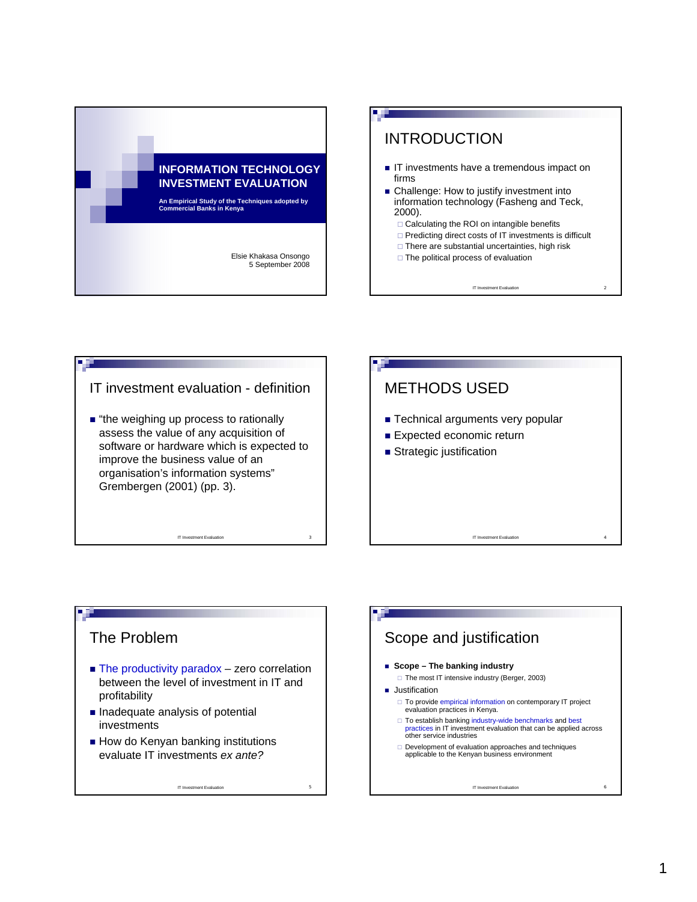







## The Problem

 $\blacksquare$  The productivity paradox – zero correlation between the level of investment in IT and profitability

IT Investment Evaluation

- $\blacksquare$  Inadequate analysis of potential investments
- $\blacksquare$  How do Kenyan banking institutions evaluate IT investments *ex ante?*

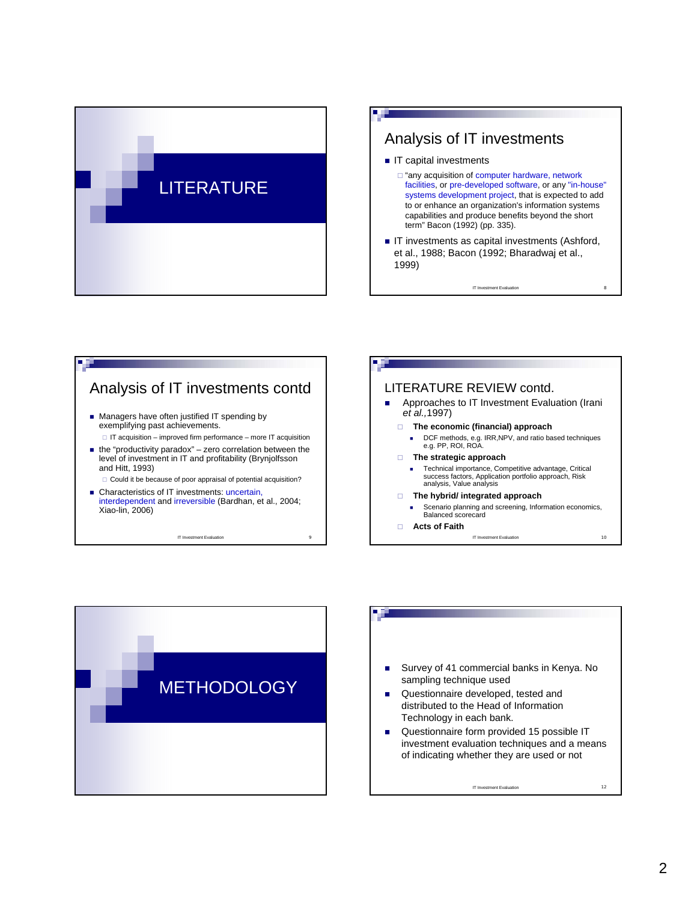









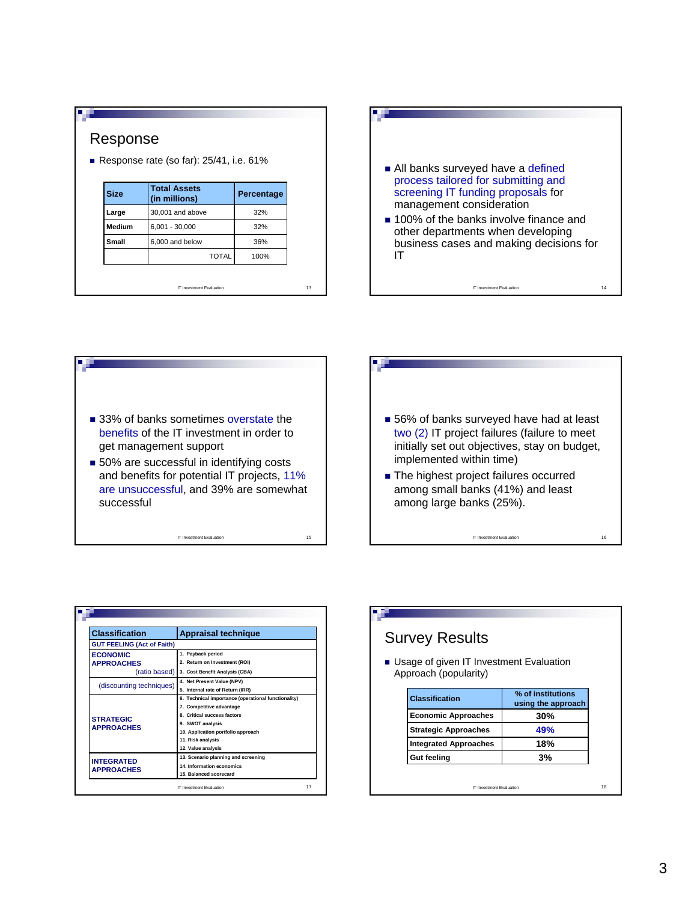| Response<br>Response rate (so far): $25/41$ , i.e. $61\%$ |                                      |            |    |  |  |
|-----------------------------------------------------------|--------------------------------------|------------|----|--|--|
| <b>Size</b>                                               | <b>Total Assets</b><br>(in millions) | Percentage |    |  |  |
| Large                                                     | 30,001 and above                     | 32%        |    |  |  |
| Medium                                                    | $6,001 - 30,000$                     | 32%        |    |  |  |
| Small                                                     | 6,000 and below                      | 36%        |    |  |  |
|                                                           | <b>TOTAL</b>                         | 100%       |    |  |  |
|                                                           | <b>IT Investment Evaluation</b>      |            | 13 |  |  |





| ■ 56% of banks surveyed have had at least<br>two (2) IT project failures (failure to meet<br>initially set out objectives, stay on budget,<br>implemented within time) |    |
|------------------------------------------------------------------------------------------------------------------------------------------------------------------------|----|
| • The highest project failures occurred<br>among small banks (41%) and least<br>among large banks (25%).                                                               |    |
| <b>IT Investment Evaluation</b>                                                                                                                                        | 16 |

| <b>Classification</b>                  | <b>Appraisal technique</b>                          |
|----------------------------------------|-----------------------------------------------------|
| <b>GUT FEELING (Act of Faith)</b>      |                                                     |
| <b>ECONOMIC</b>                        | 1. Payback period                                   |
| <b>APPROACHES</b>                      | 2. Return on Investment (ROI)                       |
| (ratio based)                          | 3. Cost Benefit Analysis (CBA)                      |
|                                        | 4. Net Present Value (NPV)                          |
| (discounting techniques)               | 5. Internal rate of Return (IRR)                    |
|                                        | 6. Technical importance (operational functionality) |
|                                        | 7. Competitive advantage                            |
| <b>STRATEGIC</b>                       | 8. Critical success factors                         |
| <b>APPROACHES</b>                      | 9. SWOT analysis                                    |
|                                        | 10. Application portfolio approach                  |
|                                        | 11. Risk analysis                                   |
|                                        | 12. Value analysis                                  |
| <b>INTEGRATED</b><br><b>APPROACHES</b> | 13. Scenario planning and screening                 |
|                                        | 14. Information economics                           |
|                                        | 15. Balanced scorecard                              |

| <b>Survey Results</b>                                              |                                         |
|--------------------------------------------------------------------|-----------------------------------------|
| ■ Usage of given IT Investment Evaluation<br>Approach (popularity) |                                         |
|                                                                    |                                         |
| <b>Classification</b>                                              | % of institutions<br>using the approach |
| <b>Economic Approaches</b>                                         | 30%                                     |
| <b>Strategic Approaches</b>                                        | 49%                                     |
| <b>Integrated Approaches</b>                                       | 18%                                     |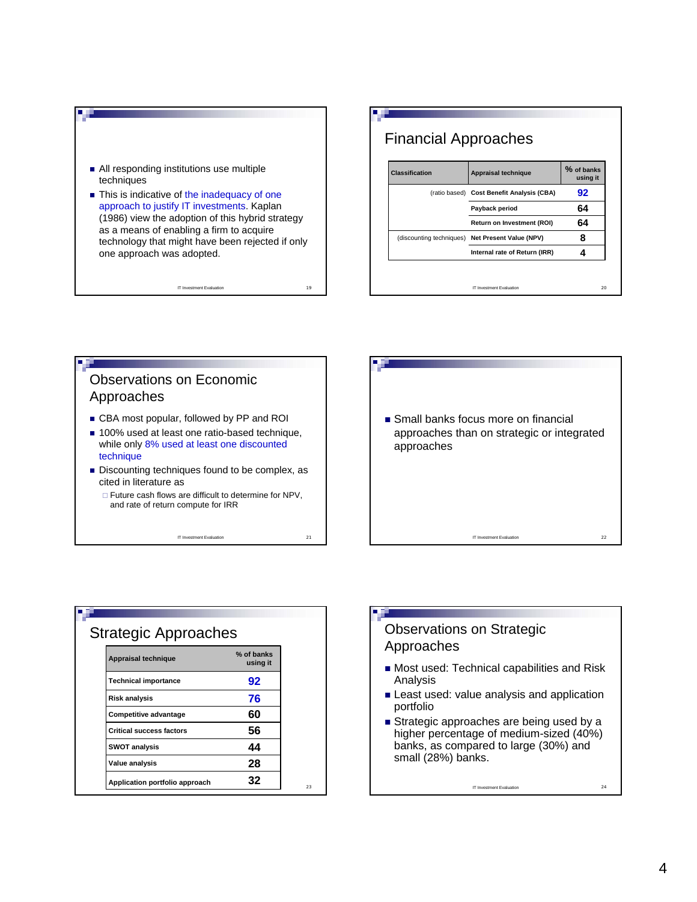

## Financial Approaches

| <b>Classification</b> | Appraisal technique                              | % of banks<br>using it |
|-----------------------|--------------------------------------------------|------------------------|
|                       | (ratio based) Cost Benefit Analysis (CBA)        | 92                     |
|                       | Payback period                                   | 64                     |
|                       | Return on Investment (ROI)                       | 64                     |
|                       | (discounting techniques) Net Present Value (NPV) | 8                      |
|                       | Internal rate of Return (IRR)                    |                        |
|                       |                                                  |                        |
|                       | <b>IT Investment Evaluation</b>                  | 20                     |



IT Investment Evaluation 21

IT Investment Evaluation 22 Small banks focus more on financial approaches than on strategic or integrated approaches

| <b>Strategic Approaches</b>     |                        |
|---------------------------------|------------------------|
| <b>Appraisal technique</b>      | % of banks<br>using it |
| <b>Technical importance</b>     | 92                     |
| <b>Risk analysis</b>            | 76                     |
| Competitive advantage           | 60                     |
| <b>Critical success factors</b> | 56                     |
| <b>SWOT analysis</b>            | 44                     |
| Value analysis                  | 28                     |
| Application portfolio approach  | 32                     |

## Observations on Strategic Approaches

- **Most used: Technical capabilities and Risk** Analysis
- **Least used: value analysis and application** portfolio
- Strategic approaches are being used by a higher percentage of medium-sized (40%) banks, as compared to large (30%) and small (28%) banks.

IT Investment Evaluation 24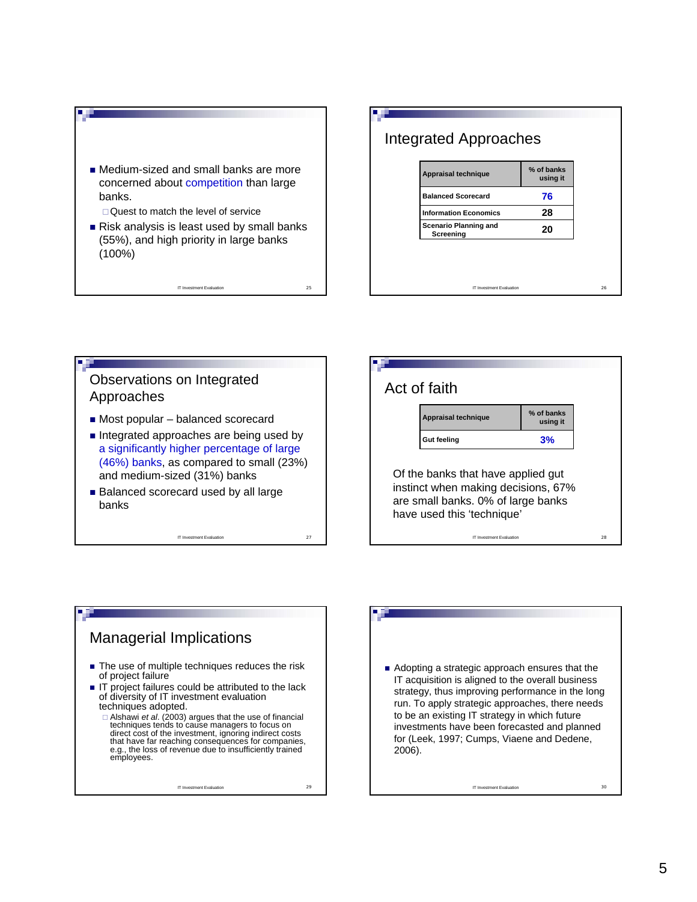

IT Investment Evaluation 25



**% of banks**